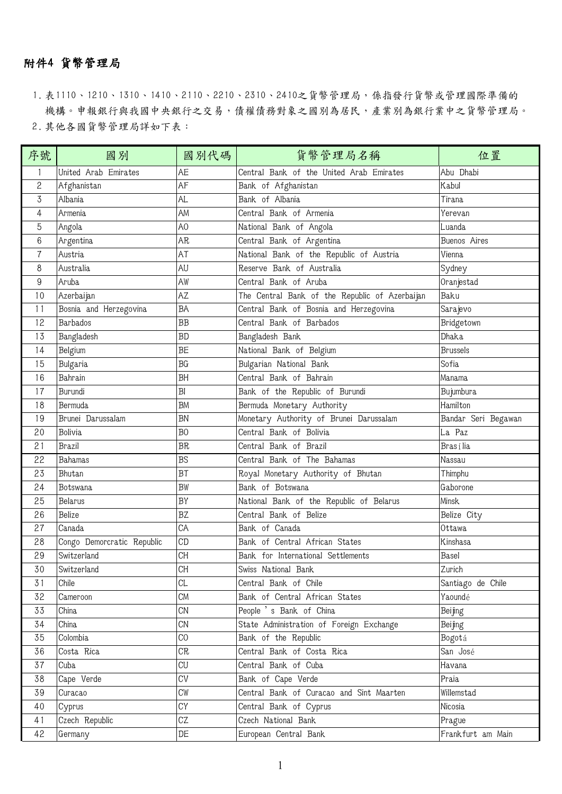## 附件4 貨幣管理局

1. 表1110、1210、1310、1410、2110、2210、2310、2410之貨幣管理局,係指發行貨幣或管理國際準備的 機構。申報銀行與我國中央銀行之交易,債權債務對象之國別為居民,產業別為銀行業中之貨幣管理局。 2. 其他各國貨幣管理局詳如下表:

| 序號                       | 國別                         | 國別代碼           | 货币管理局名称                                        | 位置                  |
|--------------------------|----------------------------|----------------|------------------------------------------------|---------------------|
|                          | United Arab Emirates       | AE             | Central Bank of the United Arab Emirates       | Abu Dhabi           |
| 2                        | Afghanistan                | AF             | Bank of Afghanistan                            | Kabul               |
| 3                        | Albania                    | <b>AL</b>      | Bank of Albania                                | Tirana              |
| 4                        | Armenia                    | AM             | Central Bank of Armenia                        | Yerevan             |
| 5                        | Angola                     | A <sub>0</sub> | National Bank of Angola                        | Luanda              |
| 6                        | Argentina                  | AR             | Central Bank of Argentina                      | Buenos Aires        |
| $\overline{\mathcal{U}}$ | Austria                    | AT             | National Bank of the Republic of Austria       | Vienna              |
| 8                        | Australia                  | AU             | Reserve Bank of Australia                      | Sydney              |
| 9                        | Aruba                      | AW             | Central Bank of Aruba                          | Oranjestad          |
| 10                       | Azerbaijan                 | AZ             | The Central Bank of the Republic of Azerbaijan | Baku                |
| 11                       | Bosnia and Herzegovina     | BA             | Central Bank of Bosnia and Herzegovina         | Sarajevo            |
| 12                       | Barbados                   | BB             | Central Bank of Barbados                       | Bridgetown          |
| 13                       | Bangladesh                 | <b>BD</b>      | Bangladesh Bank                                | Dhaka               |
| 14                       | Belgium                    | BE             | National Bank of Belgium                       | <b>Brussels</b>     |
| 15                       | <b>Bulgaria</b>            | BG             | Bulgarian National Bank                        | Sofia               |
| 16                       | Bahrain                    | <b>BH</b>      | Central Bank of Bahrain                        | Manama              |
| 17                       | Burundi                    | BI             | Bank of the Republic of Burundi                | Bujumbura           |
| 18                       | Bermuda                    | <b>BM</b>      | Bermuda Monetary Authority                     | Hamilton            |
| 19                       | Brunei Darussalam          | <b>BN</b>      | Monetary Authority of Brunei Darussalam        | Bandar Seri Begawan |
| 20                       | <b>Bolivia</b>             | B <sub>0</sub> | Central Bank of Bolivia                        | La Paz              |
| 21                       | Brazil                     | <b>BR</b>      | Central Bank of Brazil                         | Brasília            |
| 22                       | Bahamas                    | <b>BS</b>      | Central Bank of The Bahamas                    | Nassau              |
| 23                       | Bhutan                     | <b>BT</b>      | Royal Monetary Authority of Bhutan             | Thimphu             |
| 24                       | Botswana                   | <b>BW</b>      | Bank of Botswana                               | Gaborone            |
| 25                       | <b>Belarus</b>             | BY             | National Bank of the Republic of Belarus       | Minsk               |
| 26                       | Belize                     | <b>BZ</b>      | Central Bank of Belize                         | Belize City         |
| 27                       | Canada                     | CA             | Bank of Canada                                 | Ottawa              |
| 28                       | Congo Demorcratic Republic | CD             | Bank of Central African States                 | Kinshasa            |
| 29                       | Switzerland                | <b>CH</b>      | Bank for International Settlements             | Basel               |
| 30                       | Switzerland                | CH             | Swiss National Bank                            | Zurich              |
| 31                       | Chile                      | CL             | Central Bank of Chile                          | Santiago de Chile   |
| 32                       | Cameroon                   | CM             | Bank of Central African States                 | Yaoundé             |
| 33                       | China                      | CN             | People 's Bank of China                        | Beijing             |
| 34                       | China                      | CN             | State Administration of Foreign Exchange       | Beijing             |
| 35                       | Colombia                   | C <sub>0</sub> | Bank of the Republic                           | Bogotá              |
| 36                       | Costa Rica                 | CR             | Central Bank of Costa Rica                     | San José            |
| 37                       | Cuba                       | CU             | Central Bank of Cuba                           | Havana              |
| 38                       | Cape Verde                 | CV             | Bank of Cape Verde                             | Praia               |
| 39                       | Curacao                    | CW             | Central Bank of Curacao and Sint Maarten       | Willemstad          |
| 40                       | Cyprus                     | CY             | Central Bank of Cyprus                         | Nicosia             |
| 41                       | Czech Republic             | CZ             | Czech National Bank                            | Prague              |
| 42                       | Germany                    | DE             | European Central Bank                          | Frankfurt am Main   |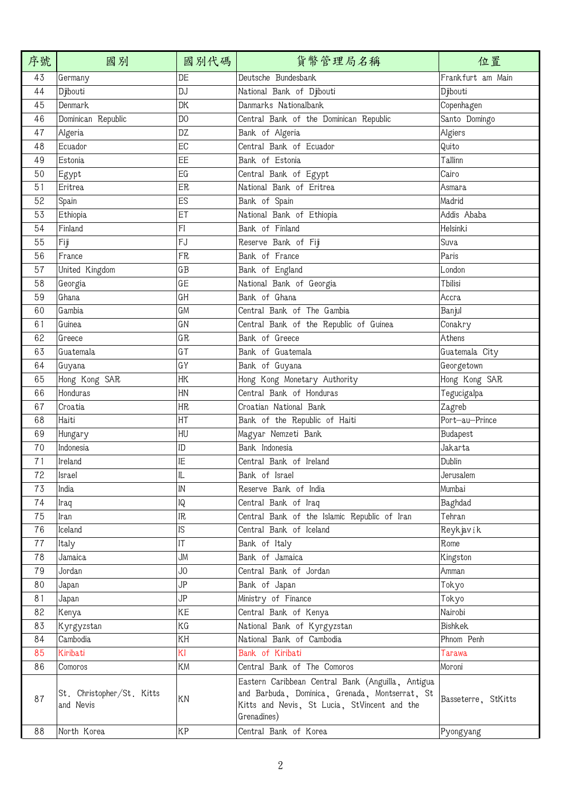| 序號 | 國別                                     | 國別代碼           | 貨幣管理局名稱                                                                                                                                                            | 位置                  |
|----|----------------------------------------|----------------|--------------------------------------------------------------------------------------------------------------------------------------------------------------------|---------------------|
| 43 | Germany                                | DE             | Deutsche Bundesbank                                                                                                                                                | Frankfurt am Main   |
| 44 | Djibouti                               | DJ             | National Bank of Djibouti                                                                                                                                          | Djibouti            |
| 45 | <b>Denmark</b>                         | DK             | Danmarks Nationalbank                                                                                                                                              | Copenhagen          |
| 46 | Dominican Republic                     | D <sub>0</sub> | Central Bank of the Dominican Republic                                                                                                                             | Santo Domingo       |
| 47 | Algeria                                | DZ             | Bank of Algeria                                                                                                                                                    | Algiers             |
| 48 | Ecuador                                | EC             | Central Bank of Ecuador                                                                                                                                            | Quito               |
| 49 | Estonia                                | EE             | Bank of Estonia                                                                                                                                                    | Tallinn             |
| 50 | Egypt                                  | EG             | Central Bank of Egypt                                                                                                                                              | Cairo               |
| 51 | Eritrea                                | ER             | National Bank of Eritrea                                                                                                                                           | Asmara              |
| 52 | Spain                                  | ES             | Bank of Spain                                                                                                                                                      | Madrid              |
| 53 | Ethiopia                               | ET             | National Bank of Ethiopia                                                                                                                                          | Addis Ababa         |
| 54 | Finland                                | FI             | Bank of Finland                                                                                                                                                    | Helsinki            |
| 55 | Fiji                                   | FJ             | Reserve Bank of Fiji                                                                                                                                               | Suva                |
| 56 | France                                 | FR             | Bank of France                                                                                                                                                     | Paris               |
| 57 | United Kingdom                         | $G$ $B$        | Bank of England                                                                                                                                                    | London              |
| 58 | Georgia                                | GE             | National Bank of Georgia                                                                                                                                           | Tbilisi             |
| 59 | Ghana                                  | GH             | Bank of Ghana                                                                                                                                                      | Accra               |
| 60 | Gambia                                 | GM             | Central Bank of The Gambia                                                                                                                                         | Banjul              |
| 61 | Guinea                                 | GN             | Central Bank of the Republic of Guinea                                                                                                                             | Conakry             |
| 62 | Greece                                 | GR             | Bank of Greece                                                                                                                                                     | Athens              |
| 63 | Guatemala                              | $G\top$        | Bank of Guatemala                                                                                                                                                  | Guatemala City      |
| 64 | Guyana                                 | GY             | Bank of Guyana                                                                                                                                                     | Georgetown          |
| 65 | Hong Kong SAR                          | HK             | Hong Kong Monetary Authority                                                                                                                                       | Hong Kong SAR       |
| 66 | Honduras                               | HN             | Central Bank of Honduras                                                                                                                                           | Tegucigalpa         |
| 67 | Croatia                                | <b>HR</b>      | Croatian National Bank                                                                                                                                             | Zagreb              |
| 68 | Haiti                                  | HT             | Bank of the Republic of Haiti                                                                                                                                      | Port-au-Prince      |
| 69 | Hungary                                | HU             | Magyar Nemzeti Bank                                                                                                                                                | Budapest            |
| 70 | Indonesia                              | ID             | Bank Indonesia                                                                                                                                                     | Jakarta             |
| 71 | Ireland                                | IE             | Central Bank of Ireland                                                                                                                                            | Dublin              |
| 72 | Israel                                 | IL             | Bank of Israel                                                                                                                                                     | Jerusalem           |
| 73 | India                                  | IN             | Reserve Bank of India                                                                                                                                              | Mumbai              |
| 74 | Iraq                                   | IQ             | Central Bank of Iraq                                                                                                                                               | Baghdad             |
| 75 | Iran                                   | IR.            | Central Bank of the Islamic Republic of Iran                                                                                                                       | Tehran              |
| 76 | Iceland                                | IS             | Central Bank of Iceland                                                                                                                                            | Reykjavík           |
| 77 | Italy                                  | IT             | Bank of Italy                                                                                                                                                      | Rome                |
| 78 | Jamaica                                | JМ             | Bank of Jamaica                                                                                                                                                    | Kingston            |
| 79 | Jordan                                 | JO             | Central Bank of Jordan                                                                                                                                             | Amman               |
| 80 | Japan                                  | JP             | Bank of Japan                                                                                                                                                      | Tokyo               |
| 81 | Japan                                  | JP             | Ministry of Finance                                                                                                                                                | Tokyo               |
| 82 | Kenya                                  | ΚE             | Central Bank of Kenya                                                                                                                                              | Nairobi             |
| 83 | Kyrgyzstan                             | ΚG             | National Bank of Kyrgyzstan                                                                                                                                        | Bishkek             |
| 84 | Cambodia                               | KΗ             | National Bank of Cambodia                                                                                                                                          | Phnom Penh          |
| 85 | Kiribati                               | ΚI             | Bank of Kiribati                                                                                                                                                   | Tarawa              |
| 86 | Comoros                                | KM             | Central Bank of The Comoros                                                                                                                                        | Moroni              |
| 87 | St. Christopher/St. Kitts<br>and Nevis | KN             | Eastern Caribbean Central Bank (Anguilla, Antigua<br>and Barbuda, Dominica, Grenada, Montserrat, St<br>Kitts and Nevis, St Lucia, StVincent and the<br>Grenadines) | Basseterre, StKitts |
| 88 | North Korea                            | ΚP             | Central Bank of Korea                                                                                                                                              | Pyongyang           |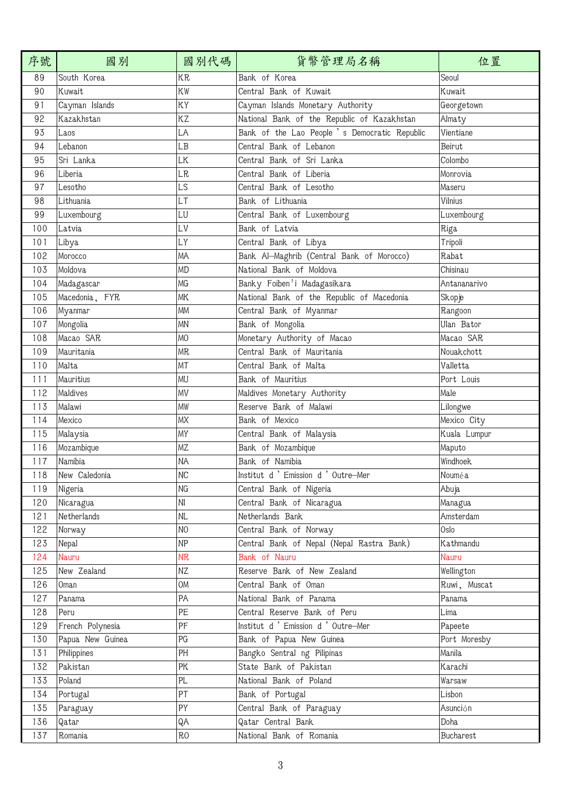| 序號  | 國別               | 國別代碼           | 貨幣管理局名稱                                       | 位置           |
|-----|------------------|----------------|-----------------------------------------------|--------------|
| 89  | South Korea      | <b>KR</b>      | Bank of Korea                                 | Seoul        |
| 90  | Kuwait           | KW             | Central Bank of Kuwait                        | Kuwait       |
| 91  | Cayman Islands   | KΥ             | Cayman Islands Monetary Authority             | Georgetown   |
| 92  | Kazakhstan       | KZ             | National Bank of the Republic of Kazakhstan   | Almaty       |
| 93  | Laos             | LA             | Bank of the Lao People 's Democratic Republic | Vientiane    |
| 94  | Lebanon          | LB             | Central Bank of Lebanon                       | Beirut       |
| 95  | Sri Lanka        | LK             | Central Bank of Sri Lanka                     | Colombo      |
| 96  | Liberia          | <b>LR</b>      | Central Bank of Liberia                       | Monrovia     |
| 97  | Lesotho          | LS             | Central Bank of Lesotho                       | Maseru       |
| 98  | Lithuania        | LT             | Bank of Lithuania                             | Vilnius      |
| 99  | Luxembourg       | LU             | Central Bank of Luxembourg                    | Luxembourg   |
| 100 | Latvia           | LV             | Bank of Latvia                                | Riga         |
| 101 | Libya            | LY             | Central Bank of Libya                         | Tripoli      |
| 102 | Morocco          | MA             | Bank Al-Maghrib (Central Bank of Morocco)     | Rabat        |
| 103 | Moldova          | <b>MD</b>      | National Bank of Moldova                      | Chisinau     |
| 104 | Madagascar       | MG             | Banky Foiben'i Madagasikara                   | Antananarivo |
| 105 | Macedonia, FYR   | <b>MK</b>      | National Bank of the Republic of Macedonia    | Skopje       |
| 106 | Myanmar          | <b>MM</b>      | Central Bank of Myanmar                       | Rangoon      |
| 107 | Mongolia         | <b>MN</b>      | Bank of Mongolia                              | Ulan Bator   |
| 108 | Macao SAR        | M <sub>O</sub> | Monetary Authority of Macao                   | Macao SAR    |
| 109 | Mauritania       | <b>MR</b>      | Central Bank of Mauritania                    | Nouakchott   |
| 110 | Malta            | MT             | Central Bank of Malta                         | Valletta     |
| 111 | Mauritius        | MU             | Bank of Mauritius                             | Port Louis   |
| 112 | Maldives         | MV             | Maldives Monetary Authority                   | Male         |
| 113 | Malawi           | <b>MW</b>      | Reserve Bank of Malawi                        | Lilongwe     |
| 114 | Mexico           | MX             | Bank of Mexico                                | Mexico City  |
| 115 | Malaysia         | MY             | Central Bank of Malaysia                      | Kuala Lumpur |
| 116 | Mozambique       | MZ             | Bank of Mozambique                            | Maputo       |
| 117 | Namibia          | <b>NA</b>      | Bank of Namibia                               | Windhoek     |
| 118 | New Caledonia    | NC             | Institut d ' Emission d ' Outre-Mer           | Nouméa       |
| 119 | Nigeria          | NG             | Central Bank of Nigeria                       | Abuja        |
| 120 | Nicaragua        | N <sub>l</sub> | Central Bank of Nicaragua                     | Managua      |
| 121 | Netherlands      | $\sf NL$       | Netherlands Bank                              | Amsterdam    |
| 122 | Norway           | N <sub>O</sub> | Central Bank of Norway                        | Oslo         |
| 123 | Nepal            | NP             | Central Bank of Nepal (Nepal Rastra Bank)     | Kathmandu    |
| 124 | Nauru            | <b>NR</b>      | Bank of Nauru                                 | <b>Nauru</b> |
| 125 | New Zealand      | ΝZ             | Reserve Bank of New Zealand                   | Wellington   |
| 126 | Oman             | OM             | Central Bank of Oman                          | Ruwi, Muscat |
| 127 | Panama           | PA             | National Bank of Panama                       | Panama       |
| 128 | Peru             | PE             | Central Reserve Bank of Peru                  | Lima         |
| 129 | French Polynesia | PF             | Institut d ' Emission d ' Outre-Mer           | Papeete      |
| 130 | Papua New Guinea | PG             | Bank of Papua New Guinea                      | Port Moresby |
| 131 | Philippines      | PH             | Bangko Sentral ng Pilipinas                   | Manila       |
| 132 | Pakistan         | PK             | State Bank of Pakistan                        | Karachi      |
| 133 | Poland           | PL             | National Bank of Poland                       | Warsaw       |
| 134 | Portugal         | PT             | Bank of Portugal                              | Lisbon       |
| 135 | Paraguay         | PY             | Central Bank of Paraguay                      | Asunción     |
| 136 | Qatar            | QA             | Qatar Central Bank                            | Doha         |
| 137 | Romania          | <b>RO</b>      | National Bank of Romania                      | Bucharest    |